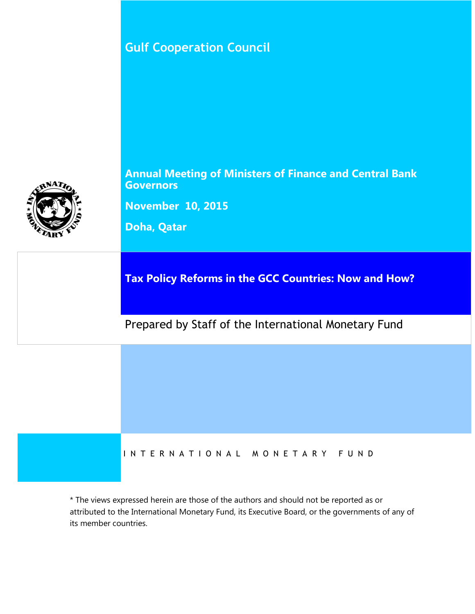**Gulf Cooperation Council**



**Annual Meeting of Ministers of Finance and Central Bank Governors**

**November 10, 2015**

**Doha, Qatar**

**Tax Policy Reforms in the GCC Countries: Now and How?**

Prepared by Staff of the International Monetary Fund

#### I N T E R N A T I O N A L M O N E T A R Y F U N D

\* The views expressed herein are those of the authors and should not be reported as or attributed to the International Monetary Fund, its Executive Board, or the governments of any of its member countries.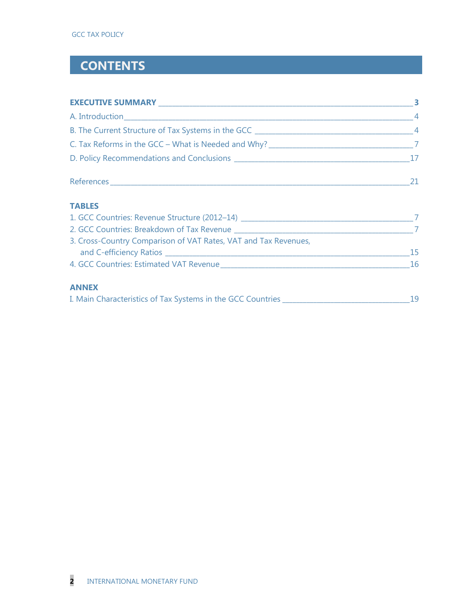## **CONTENTS**

| <b>EXECUTIVE SUMMARY EXECUTIVE SUMMARY</b>                                       |                |
|----------------------------------------------------------------------------------|----------------|
|                                                                                  | $\overline{4}$ |
| B. The Current Structure of Tax Systems in the GCC _____________________________ | $\overline{4}$ |
| C. Tax Reforms in the GCC - What is Needed and Why? ____________________________ |                |
|                                                                                  |                |
| References_                                                                      |                |

#### **TABLES**

| 1. GCC Countries: Revenue Structure (2012-14)                   |     |
|-----------------------------------------------------------------|-----|
| 2. GCC Countries: Breakdown of Tax Revenue                      |     |
| 3. Cross-Country Comparison of VAT Rates, VAT and Tax Revenues, |     |
| and C-efficiency Ratios                                         | 15. |
| 4. GCC Countries: Estimated VAT Revenue                         | 16  |
|                                                                 |     |

#### **ANNEX**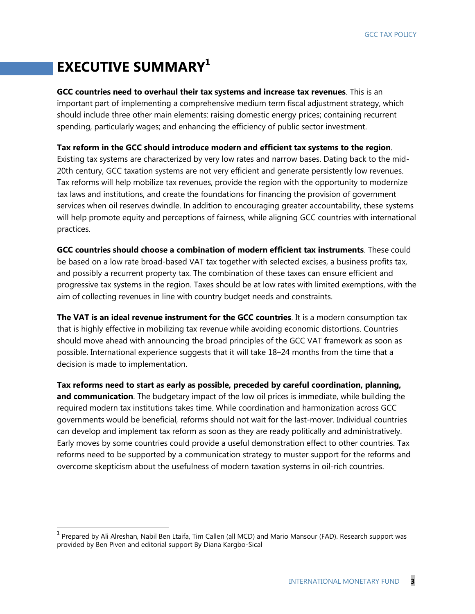# **EXECUTIVE SUMMARY<sup>1</sup>**

 $\overline{a}$ 

**GCC countries need to overhaul their tax systems and increase tax revenues**. This is an important part of implementing a comprehensive medium term fiscal adjustment strategy, which should include three other main elements: raising domestic energy prices; containing recurrent spending, particularly wages; and enhancing the efficiency of public sector investment.

**Tax reform in the GCC should introduce modern and efficient tax systems to the region**.

Existing tax systems are characterized by very low rates and narrow bases. Dating back to the mid-20th century, GCC taxation systems are not very efficient and generate persistently low revenues. Tax reforms will help mobilize tax revenues, provide the region with the opportunity to modernize tax laws and institutions, and create the foundations for financing the provision of government services when oil reserves dwindle. In addition to encouraging greater accountability, these systems will help promote equity and perceptions of fairness, while aligning GCC countries with international practices.

**GCC countries should choose a combination of modern efficient tax instruments**. These could be based on a low rate broad-based VAT tax together with selected excises, a business profits tax, and possibly a recurrent property tax. The combination of these taxes can ensure efficient and progressive tax systems in the region. Taxes should be at low rates with limited exemptions, with the aim of collecting revenues in line with country budget needs and constraints.

**The VAT is an ideal revenue instrument for the GCC countries**. It is a modern consumption tax that is highly effective in mobilizing tax revenue while avoiding economic distortions. Countries should move ahead with announcing the broad principles of the GCC VAT framework as soon as possible. International experience suggests that it will take 18–24 months from the time that a decision is made to implementation.

**Tax reforms need to start as early as possible, preceded by careful coordination, planning, and communication**. The budgetary impact of the low oil prices is immediate, while building the required modern tax institutions takes time. While coordination and harmonization across GCC governments would be beneficial, reforms should not wait for the last-mover. Individual countries can develop and implement tax reform as soon as they are ready politically and administratively. Early moves by some countries could provide a useful demonstration effect to other countries. Tax reforms need to be supported by a communication strategy to muster support for the reforms and overcome skepticism about the usefulness of modern taxation systems in oil-rich countries.

<sup>&</sup>lt;sup>1</sup> Prepared by Ali Alreshan, Nabil Ben Ltaifa, Tim Callen (all MCD) and Mario Mansour (FAD). Research support was provided by Ben Piven and editorial support By Diana Kargbo-Sical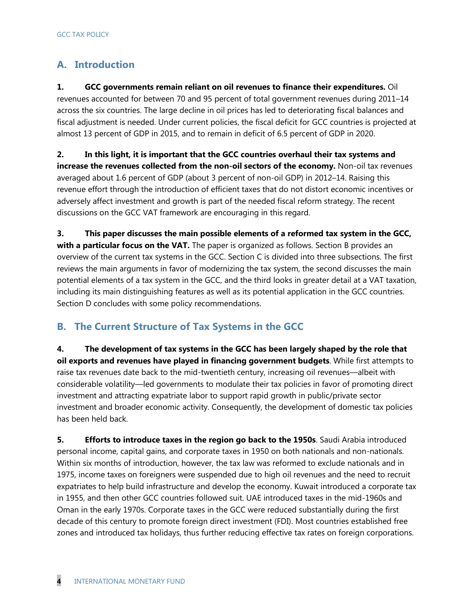### **A. Introduction**

**1. GCC governments remain reliant on oil revenues to finance their expenditures.** Oil revenues accounted for between 70 and 95 percent of total government revenues during 2011–14 across the six countries. The large decline in oil prices has led to deteriorating fiscal balances and fiscal adjustment is needed. Under current policies, the fiscal deficit for GCC countries is projected at almost 13 percent of GDP in 2015, and to remain in deficit of 6.5 percent of GDP in 2020.

**2. In this light, it is important that the GCC countries overhaul their tax systems and increase the revenues collected from the non-oil sectors of the economy.** Non-oil tax revenues averaged about 1.6 percent of GDP (about 3 percent of non-oil GDP) in 2012–14. Raising this revenue effort through the introduction of efficient taxes that do not distort economic incentives or adversely affect investment and growth is part of the needed fiscal reform strategy. The recent discussions on the GCC VAT framework are encouraging in this regard.

**3. This paper discusses the main possible elements of a reformed tax system in the GCC, with a particular focus on the VAT.** The paper is organized as follows. Section B provides an overview of the current tax systems in the GCC. Section C is divided into three subsections. The first reviews the main arguments in favor of modernizing the tax system, the second discusses the main potential elements of a tax system in the GCC, and the third looks in greater detail at a VAT taxation, including its main distinguishing features as well as its potential application in the GCC countries. Section D concludes with some policy recommendations.

#### **B. The Current Structure of Tax Systems in the GCC**

**4. The development of tax systems in the GCC has been largely shaped by the role that oil exports and revenues have played in financing government budgets**. While first attempts to raise tax revenues date back to the mid-twentieth century, increasing oil revenues—albeit with considerable volatility—led governments to modulate their tax policies in favor of promoting direct investment and attracting expatriate labor to support rapid growth in public/private sector investment and broader economic activity. Consequently, the development of domestic tax policies has been held back.

**5. Efforts to introduce taxes in the region go back to the 1950s**. Saudi Arabia introduced personal income, capital gains, and corporate taxes in 1950 on both nationals and non-nationals. Within six months of introduction, however, the tax law was reformed to exclude nationals and in 1975, income taxes on foreigners were suspended due to high oil revenues and the need to recruit expatriates to help build infrastructure and develop the economy. Kuwait introduced a corporate tax in 1955, and then other GCC countries followed suit. UAE introduced taxes in the mid-1960s and Oman in the early 1970s. Corporate taxes in the GCC were reduced substantially during the first decade of this century to promote foreign direct investment (FDI). Most countries established free zones and introduced tax holidays, thus further reducing effective tax rates on foreign corporations.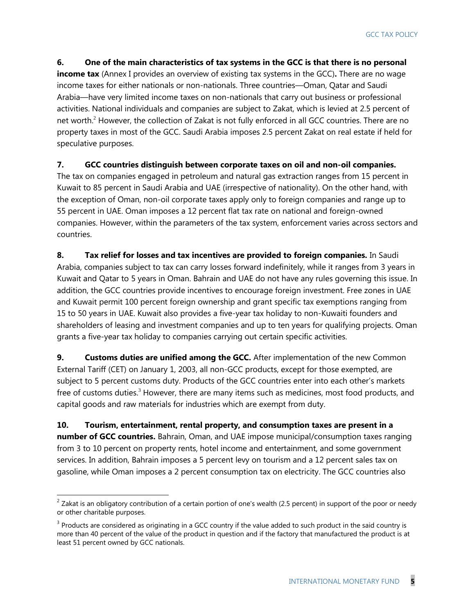**6. One of the main characteristics of tax systems in the GCC is that there is no personal income tax** (Annex I provides an overview of existing tax systems in the GCC)**.** There are no wage income taxes for either nationals or non-nationals. Three countries—Oman, Qatar and Saudi Arabia—have very limited income taxes on non-nationals that carry out business or professional activities. National individuals and companies are subject to Zakat, which is levied at 2.5 percent of net worth.<sup>2</sup> However, the collection of Zakat is not fully enforced in all GCC countries. There are no property taxes in most of the GCC. Saudi Arabia imposes 2.5 percent Zakat on real estate if held for speculative purposes.

#### **7. GCC countries distinguish between corporate taxes on oil and non-oil companies.**

The tax on companies engaged in petroleum and natural gas extraction ranges from 15 percent in Kuwait to 85 percent in Saudi Arabia and UAE (irrespective of nationality). On the other hand, with the exception of Oman, non-oil corporate taxes apply only to foreign companies and range up to 55 percent in UAE. Oman imposes a 12 percent flat tax rate on national and foreign-owned companies. However, within the parameters of the tax system, enforcement varies across sectors and countries.

**8. Tax relief for losses and tax incentives are provided to foreign companies.** In Saudi Arabia, companies subject to tax can carry losses forward indefinitely, while it ranges from 3 years in Kuwait and Qatar to 5 years in Oman. Bahrain and UAE do not have any rules governing this issue. In addition, the GCC countries provide incentives to encourage foreign investment. Free zones in UAE and Kuwait permit 100 percent foreign ownership and grant specific tax exemptions ranging from 15 to 50 years in UAE. Kuwait also provides a five-year tax holiday to non-Kuwaiti founders and shareholders of leasing and investment companies and up to ten years for qualifying projects. Oman grants a five-year tax holiday to companies carrying out certain specific activities.

**9. Customs duties are unified among the GCC.** After implementation of the new Common External Tariff (CET) on January 1, 2003, all non-GCC products, except for those exempted, are subject to 5 percent customs duty. Products of the GCC countries enter into each other's markets free of customs duties. $3$  However, there are many items such as medicines, most food products, and capital goods and raw materials for industries which are exempt from duty.

**10. Tourism, entertainment, rental property, and consumption taxes are present in a number of GCC countries.** Bahrain, Oman, and UAE impose municipal/consumption taxes ranging from 3 to 10 percent on property rents, hotel income and entertainment, and some government services. In addition, Bahrain imposes a 5 percent levy on tourism and a 12 percent sales tax on gasoline, while Oman imposes a 2 percent consumption tax on electricity. The GCC countries also

<sup>&</sup>lt;sup>2</sup> Zakat is an obligatory contribution of a certain portion of one's wealth (2.5 percent) in support of the poor or needy or other charitable purposes.

 $3$  Products are considered as originating in a GCC country if the value added to such product in the said country is more than 40 percent of the value of the product in question and if the factory that manufactured the product is at least 51 percent owned by GCC nationals.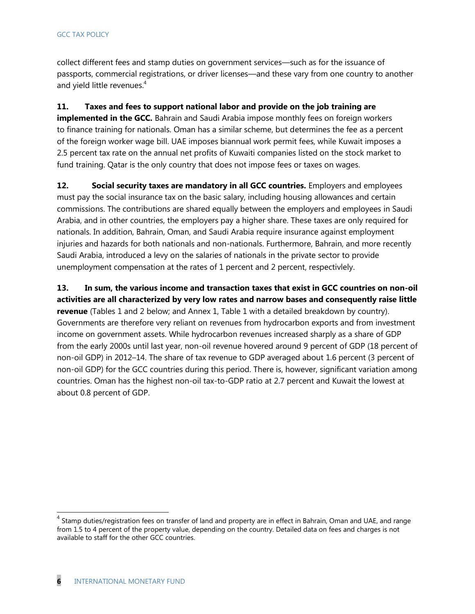#### GCC TAX POLICY

collect different fees and stamp duties on government services—such as for the issuance of passports, commercial registrations, or driver licenses—and these vary from one country to another and yield little revenues.<sup>4</sup>

#### **11. Taxes and fees to support national labor and provide on the job training are**

**implemented in the GCC.** Bahrain and Saudi Arabia impose monthly fees on foreign workers to finance training for nationals. Oman has a similar scheme, but determines the fee as a percent of the foreign worker wage bill. UAE imposes biannual work permit fees, while Kuwait imposes a 2.5 percent tax rate on the annual net profits of Kuwaiti companies listed on the stock market to fund training. Qatar is the only country that does not impose fees or taxes on wages.

12. Social security taxes are mandatory in all GCC countries. **Employers and employees** must pay the social insurance tax on the basic salary, including housing allowances and certain commissions. The contributions are shared equally between the employers and employees in Saudi Arabia, and in other countries, the employers pay a higher share. These taxes are only required for nationals. In addition, Bahrain, Oman, and Saudi Arabia require insurance against employment injuries and hazards for both nationals and non-nationals. Furthermore, Bahrain, and more recently Saudi Arabia, introduced a levy on the salaries of nationals in the private sector to provide unemployment compensation at the rates of 1 percent and 2 percent, respectivlely.

**13. In sum, the various income and transaction taxes that exist in GCC countries on non-oil activities are all characterized by very low rates and narrow bases and consequently raise little revenue** (Tables 1 and 2 below; and Annex 1, Table 1 with a detailed breakdown by country). Governments are therefore very reliant on revenues from hydrocarbon exports and from investment income on government assets. While hydrocarbon revenues increased sharply as a share of GDP from the early 2000s until last year, non-oil revenue hovered around 9 percent of GDP (18 percent of non-oil GDP) in 2012–14. The share of tax revenue to GDP averaged about 1.6 percent (3 percent of non-oil GDP) for the GCC countries during this period. There is, however, significant variation among countries. Oman has the highest non-oil tax-to-GDP ratio at 2.7 percent and Kuwait the lowest at about 0.8 percent of GDP.

<sup>&</sup>lt;sup>4</sup> Stamp duties/registration fees on transfer of land and property are in effect in Bahrain, Oman and UAE, and range from 1.5 to 4 percent of the property value, depending on the country. Detailed data on fees and charges is not available to staff for the other GCC countries.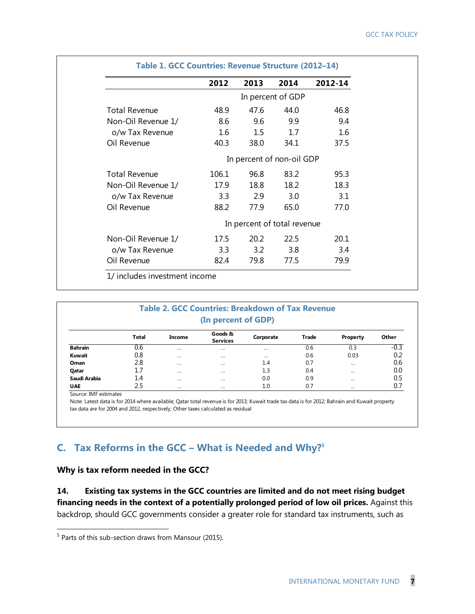|                           | 2012  | 2013 | 2014                        | 2012-14 |  |
|---------------------------|-------|------|-----------------------------|---------|--|
|                           |       |      | In percent of GDP           |         |  |
| <b>Total Revenue</b>      | 48.9  | 47.6 | 44.0                        | 46.8    |  |
| Non-Oil Revenue 1/        | 8.6   | 9.6  | 9.9                         | 9.4     |  |
| o/w Tax Revenue           | 1.6   | 1.5  | 1.7                         | 1.6     |  |
| Oil Revenue               | 40.3  | 38.0 | 34.1                        | 37.5    |  |
| In percent of non-oil GDP |       |      |                             |         |  |
| <b>Total Revenue</b>      | 106.1 | 96.8 | 83.2                        | 95.3    |  |
| Non-Oil Revenue 1/        | 17.9  | 18.8 | 18.2                        | 18.3    |  |
| o/w Tax Revenue           | 3.3   | 2.9  | 3.0                         | 3.1     |  |
| Oil Revenue               | 88.2  | 77.9 | 65.0                        | 77.0    |  |
|                           |       |      | In percent of total revenue |         |  |
| Non-Oil Revenue 1/        | 17.5  | 20.2 | 22.5                        | 20.1    |  |
| o/w Tax Revenue           | 3.3   | 3.2  | 3.8                         | 3.4     |  |
| Oil Revenue               | 82.4  | 79.8 | 77.5                        | 79.9    |  |

| <b>Table 2. GCC Countries: Breakdown of Tax Revenue</b><br>(In percent of GDP) |              |          |                            |           |              |          |        |  |  |
|--------------------------------------------------------------------------------|--------------|----------|----------------------------|-----------|--------------|----------|--------|--|--|
|                                                                                | <b>Total</b> | Income   | Goods &<br><b>Services</b> | Corporate | <b>Trade</b> | Property | Other  |  |  |
| <b>Bahrain</b>                                                                 | 0.6          |          | $\cdots$                   | $\cdots$  | 0.6          | 0.3      | $-0.3$ |  |  |
| Kuwait                                                                         | 0.8          | $\cdots$ | $\cdots$                   | $\cdots$  | 0.6          | 0.03     | 0.2    |  |  |
| Oman                                                                           | 2.8          |          | $\cdots$                   | 1.4       | 0.7          |          | 0.6    |  |  |
| Qatar                                                                          | 1.7          |          | $\cdots$                   | 1.3       | 0.4          |          | 0.0    |  |  |
| Saudi Arabia                                                                   | 1.4          |          |                            | 0.0       | 0.9          |          | 0.5    |  |  |
| <b>UAE</b>                                                                     | 2.5          | $\cdots$ | $\cdots$                   | 1.0       | 0.7          | $\cdots$ | 0.7    |  |  |

Source: IMF estimate

 $\overline{a}$ 

Note: Latest data is for 2014 where available; Qatar total revenue is for 2013; Kuwait trade tax data is for 2012; Bahrain and Kuwait property tax data are for 2004 and 2012, respectively; Other taxes calculated as residual

#### **C. Tax Reforms in the GCC – What is Needed and Why?<sup>5</sup>**

#### **Why is tax reform needed in the GCC?**

**14. Existing tax systems in the GCC countries are limited and do not meet rising budget financing needs in the context of a potentially prolonged period of low oil prices.** Against this backdrop, should GCC governments consider a greater role for standard tax instruments, such as

<sup>&</sup>lt;sup>5</sup> Parts of this sub-section draws from Mansour (2015).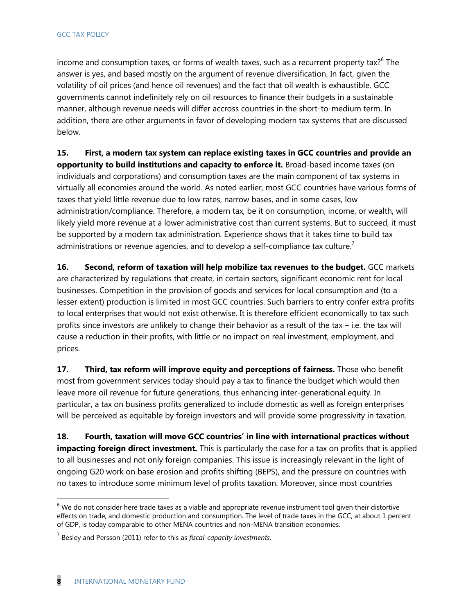income and consumption taxes, or forms of wealth taxes, such as a recurrent property tax?<sup>6</sup> The answer is yes, and based mostly on the argument of revenue diversification. In fact, given the volatility of oil prices (and hence oil revenues) and the fact that oil wealth is exhaustible, GCC governments cannot indefinitely rely on oil resources to finance their budgets in a sustainable manner, although revenue needs will differ accross countries in the short-to-medium term. In addition, there are other arguments in favor of developing modern tax systems that are discussed below.

**15. First, a modern tax system can replace existing taxes in GCC countries and provide an opportunity to build institutions and capacity to enforce it.** Broad-based income taxes (on individuals and corporations) and consumption taxes are the main component of tax systems in virtually all economies around the world. As noted earlier, most GCC countries have various forms of taxes that yield little revenue due to low rates, narrow bases, and in some cases, low administration/compliance. Therefore, a modern tax, be it on consumption, income, or wealth, will likely yield more revenue at a lower administrative cost than current systems. But to succeed, it must be supported by a modern tax administration. Experience shows that it takes time to build tax administrations or revenue agencies, and to develop a self-compliance tax culture.<sup>7</sup>

**16.** Second, reform of taxation will help mobilize tax revenues to the budget. GCC markets are characterized by regulations that create, in certain sectors, significant economic rent for local businesses. Competition in the provision of goods and services for local consumption and (to a lesser extent) production is limited in most GCC countries. Such barriers to entry confer extra profits to local enterprises that would not exist otherwise. It is therefore efficient economically to tax such profits since investors are unlikely to change their behavior as a result of the tax – i.e. the tax will cause a reduction in their profits, with little or no impact on real investment, employment, and prices.

**17. Third, tax reform will improve equity and perceptions of fairness.** Those who benefit most from government services today should pay a tax to finance the budget which would then leave more oil revenue for future generations, thus enhancing inter-generational equity. In particular, a tax on business profits generalized to include domestic as well as foreign enterprises will be perceived as equitable by foreign investors and will provide some progressivity in taxation.

**18. Fourth, taxation will move GCC countries' in line with international practices without impacting foreign direct investment.** This is particularly the case for a tax on profits that is applied to all businesses and not only foreign companies. This issue is increasingly relevant in the light of ongoing G20 work on base erosion and profits shifting (BEPS), and the pressure on countries with no taxes to introduce some minimum level of profits taxation. Moreover, since most countries

 $6$  We do not consider here trade taxes as a viable and appropriate revenue instrument tool given their distortive effects on trade, and domestic production and consumption. The level of trade taxes in the GCC, at about 1 percent of GDP, is today comparable to other MENA countries and non-MENA transition economies.

<sup>7</sup> Besley and Persson (2011) refer to this as *fiscal-capacity investments*.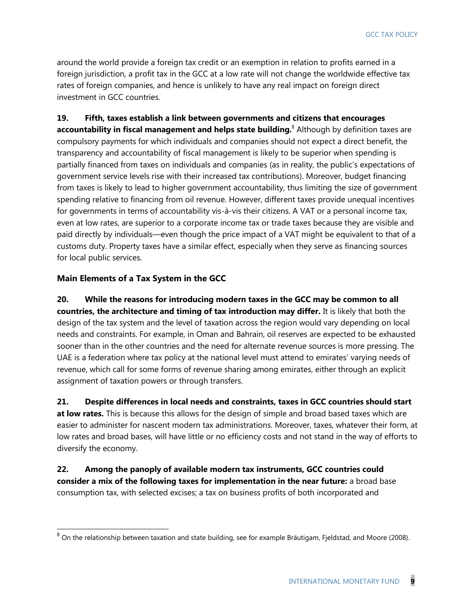GCC TAX POLICY

around the world provide a foreign tax credit or an exemption in relation to profits earned in a foreign jurisdiction, a profit tax in the GCC at a low rate will not change the worldwide effective tax rates of foreign companies, and hence is unlikely to have any real impact on foreign direct investment in GCC countries.

**19. Fifth, taxes establish a link between governments and citizens that encourages accountability in fiscal management and helps state building.**<sup>8</sup> Although by definition taxes are compulsory payments for which individuals and companies should not expect a direct benefit, the transparency and accountability of fiscal management is likely to be superior when spending is partially financed from taxes on individuals and companies (as in reality, the public's expectations of government service levels rise with their increased tax contributions). Moreover, budget financing from taxes is likely to lead to higher government accountability, thus limiting the size of government spending relative to financing from oil revenue. However, different taxes provide unequal incentives for governments in terms of accountability vis-à-vis their citizens. A VAT or a personal income tax, even at low rates, are superior to a corporate income tax or trade taxes because they are visible and paid directly by individuals—even though the price impact of a VAT might be equivalent to that of a customs duty. Property taxes have a similar effect, especially when they serve as financing sources for local public services.

#### **Main Elements of a Tax System in the GCC**

 $\overline{a}$ 

**20. While the reasons for introducing modern taxes in the GCC may be common to all countries, the architecture and timing of tax introduction may differ.** It is likely that both the design of the tax system and the level of taxation across the region would vary depending on local needs and constraints. For example, in Oman and Bahrain, oil reserves are expected to be exhausted sooner than in the other countries and the need for alternate revenue sources is more pressing. The UAE is a federation where tax policy at the national level must attend to emirates' varying needs of revenue, which call for some forms of revenue sharing among emirates, either through an explicit assignment of taxation powers or through transfers.

**21. Despite differences in local needs and constraints, taxes in GCC countries should start at low rates.** This is because this allows for the design of simple and broad based taxes which are easier to administer for nascent modern tax administrations. Moreover, taxes, whatever their form, at low rates and broad bases, will have little or no efficiency costs and not stand in the way of efforts to diversify the economy.

**22. Among the panoply of available modern tax instruments, GCC countries could consider a mix of the following taxes for implementation in the near future:** a broad base consumption tax, with selected excises; a tax on business profits of both incorporated and

 $^8$  On the relationship between taxation and state building, see for example Bräutigam, Fjeldstad, and Moore (2008).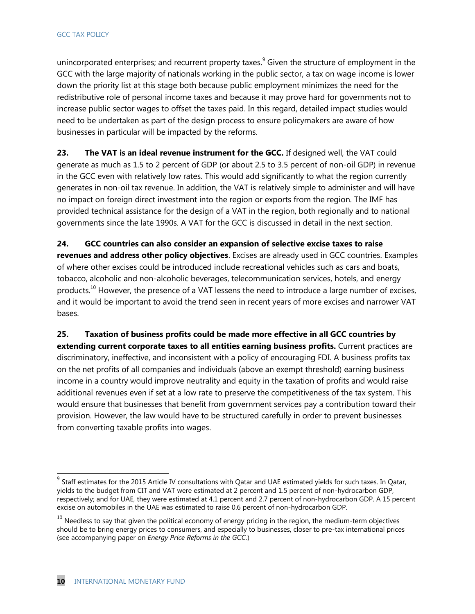unincorporated enterprises; and recurrent property taxes.<sup>9</sup> Given the structure of employment in the GCC with the large majority of nationals working in the public sector, a tax on wage income is lower down the priority list at this stage both because public employment minimizes the need for the redistributive role of personal income taxes and because it may prove hard for governments not to increase public sector wages to offset the taxes paid. In this regard, detailed impact studies would need to be undertaken as part of the design process to ensure policymakers are aware of how businesses in particular will be impacted by the reforms.

23. The VAT is an ideal revenue instrument for the GCC. If designed well, the VAT could generate as much as 1.5 to 2 percent of GDP (or about 2.5 to 3.5 percent of non-oil GDP) in revenue in the GCC even with relatively low rates. This would add significantly to what the region currently generates in non-oil tax revenue. In addition, the VAT is relatively simple to administer and will have no impact on foreign direct investment into the region or exports from the region. The IMF has provided technical assistance for the design of a VAT in the region, both regionally and to national governments since the late 1990s. A VAT for the GCC is discussed in detail in the next section.

**24. GCC countries can also consider an expansion of selective excise taxes to raise revenues and address other policy objectives**. Excises are already used in GCC countries. Examples of where other excises could be introduced include recreational vehicles such as cars and boats, tobacco, alcoholic and non-alcoholic beverages, telecommunication services, hotels, and energy products.<sup>10</sup> However, the presence of a VAT lessens the need to introduce a large number of excises, and it would be important to avoid the trend seen in recent years of more excises and narrower VAT bases.

**25. Taxation of business profits could be made more effective in all GCC countries by extending current corporate taxes to all entities earning business profits.** Current practices are discriminatory, ineffective, and inconsistent with a policy of encouraging FDI. A business profits tax on the net profits of all companies and individuals (above an exempt threshold) earning business income in a country would improve neutrality and equity in the taxation of profits and would raise additional revenues even if set at a low rate to preserve the competitiveness of the tax system. This would ensure that businesses that benefit from government services pay a contribution toward their provision. However, the law would have to be structured carefully in order to prevent businesses from converting taxable profits into wages.

 $^9$  Staff estimates for the 2015 Article IV consultations with Qatar and UAE estimated yields for such taxes. In Qatar, yields to the budget from CIT and VAT were estimated at 2 percent and 1.5 percent of non-hydrocarbon GDP, respectively; and for UAE, they were estimated at 4.1 percent and 2.7 percent of non-hydrocarbon GDP. A 15 percent excise on automobiles in the UAE was estimated to raise 0.6 percent of non-hydrocarbon GDP.

 $10$  Needless to say that given the political economy of energy pricing in the region, the medium-term objectives should be to bring energy prices to consumers, and especially to businesses, closer to pre-tax international prices (see accompanying paper on *Energy Price Reforms in the GCC*.)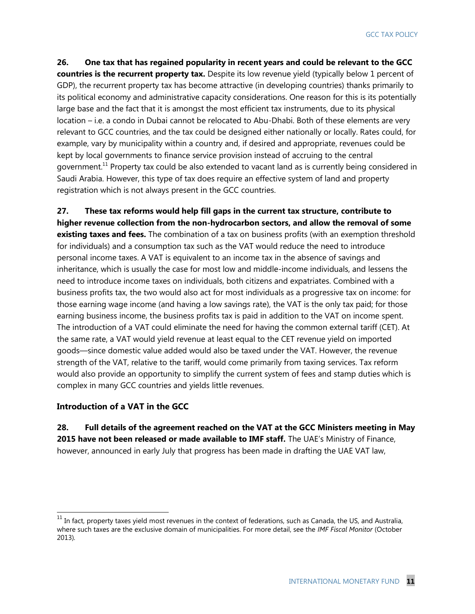**26. One tax that has regained popularity in recent years and could be relevant to the GCC countries is the recurrent property tax.** Despite its low revenue yield (typically below 1 percent of GDP), the recurrent property tax has become attractive (in developing countries) thanks primarily to its political economy and administrative capacity considerations. One reason for this is its potentially large base and the fact that it is amongst the most efficient tax instruments, due to its physical location – i.e. a condo in Dubai cannot be relocated to Abu-Dhabi. Both of these elements are very relevant to GCC countries, and the tax could be designed either nationally or locally. Rates could, for example, vary by municipality within a country and, if desired and appropriate, revenues could be kept by local governments to finance service provision instead of accruing to the central government.<sup>11</sup> Property tax could be also extended to vacant land as is currently being considered in Saudi Arabia. However, this type of tax does require an effective system of land and property registration which is not always present in the GCC countries.

**27. These tax reforms would help fill gaps in the current tax structure, contribute to higher revenue collection from the non-hydrocarbon sectors, and allow the removal of some existing taxes and fees.** The combination of a tax on business profits (with an exemption threshold for individuals) and a consumption tax such as the VAT would reduce the need to introduce personal income taxes. A VAT is equivalent to an income tax in the absence of savings and inheritance, which is usually the case for most low and middle-income individuals, and lessens the need to introduce income taxes on individuals, both citizens and expatriates. Combined with a business profits tax, the two would also act for most individuals as a progressive tax on income: for those earning wage income (and having a low savings rate), the VAT is the only tax paid; for those earning business income, the business profits tax is paid in addition to the VAT on income spent. The introduction of a VAT could eliminate the need for having the common external tariff (CET). At the same rate, a VAT would yield revenue at least equal to the CET revenue yield on imported goods—since domestic value added would also be taxed under the VAT. However, the revenue strength of the VAT, relative to the tariff, would come primarily from taxing services. Tax reform would also provide an opportunity to simplify the current system of fees and stamp duties which is complex in many GCC countries and yields little revenues.

#### **Introduction of a VAT in the GCC**

 $\overline{a}$ 

**28. Full details of the agreement reached on the VAT at the GCC Ministers meeting in May**  2015 have not been released or made available to IMF staff. The UAE's Ministry of Finance, however, announced in early July that progress has been made in drafting the UAE VAT law,

 $11$  In fact, property taxes yield most revenues in the context of federations, such as Canada, the US, and Australia, where such taxes are the exclusive domain of municipalities. For more detail, see the *IMF Fiscal Monitor* (October 2013)*.*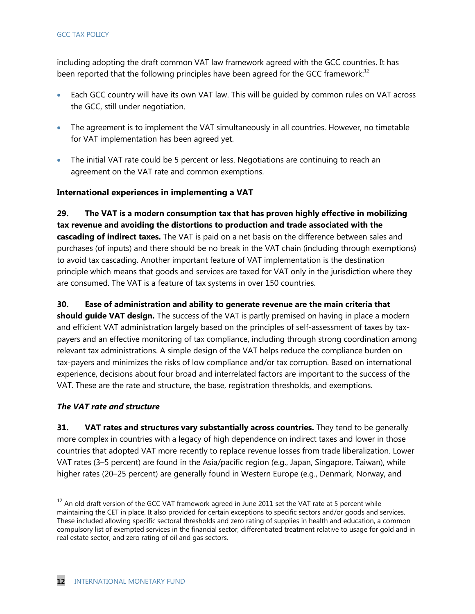#### GCC TAX POLICY

including adopting the draft common VAT law framework agreed with the GCC countries. It has been reported that the following principles have been agreed for the GCC framework: $^{12}$ 

- Each GCC country will have its own VAT law. This will be quided by common rules on VAT across the GCC, still under negotiation.
- The agreement is to implement the VAT simultaneously in all countries. However, no timetable for VAT implementation has been agreed yet.
- The initial VAT rate could be 5 percent or less. Negotiations are continuing to reach an agreement on the VAT rate and common exemptions.

#### **International experiences in implementing a VAT**

**29. The VAT is a modern consumption tax that has proven highly effective in mobilizing tax revenue and avoiding the distortions to production and trade associated with the cascading of indirect taxes.** The VAT is paid on a net basis on the difference between sales and purchases (of inputs) and there should be no break in the VAT chain (including through exemptions) to avoid tax cascading. Another important feature of VAT implementation is the destination principle which means that goods and services are taxed for VAT only in the jurisdiction where they are consumed. The VAT is a feature of tax systems in over 150 countries.

#### **30. Ease of administration and ability to generate revenue are the main criteria that**

**should guide VAT design.** The success of the VAT is partly premised on having in place a modern and efficient VAT administration largely based on the principles of self-assessment of taxes by taxpayers and an effective monitoring of tax compliance, including through strong coordination among relevant tax administrations. A simple design of the VAT helps reduce the compliance burden on tax-payers and minimizes the risks of low compliance and/or tax corruption. Based on international experience, decisions about four broad and interrelated factors are important to the success of the VAT. These are the rate and structure, the base, registration thresholds, and exemptions.

#### *The VAT rate and structure*

 $\overline{a}$ 

**31. VAT rates and structures vary substantially across countries.** They tend to be generally more complex in countries with a legacy of high dependence on indirect taxes and lower in those countries that adopted VAT more recently to replace revenue losses from trade liberalization. Lower VAT rates (3–5 percent) are found in the Asia/pacific region (e.g., Japan, Singapore, Taiwan), while higher rates (20–25 percent) are generally found in Western Europe (e.g., Denmark, Norway, and

 $^{12}$  An old draft version of the GCC VAT framework agreed in June 2011 set the VAT rate at 5 percent while maintaining the CET in place. It also provided for certain exceptions to specific sectors and/or goods and services. These included allowing specific sectoral thresholds and zero rating of supplies in health and education, a common compulsory list of exempted services in the financial sector, differentiated treatment relative to usage for gold and in real estate sector, and zero rating of oil and gas sectors.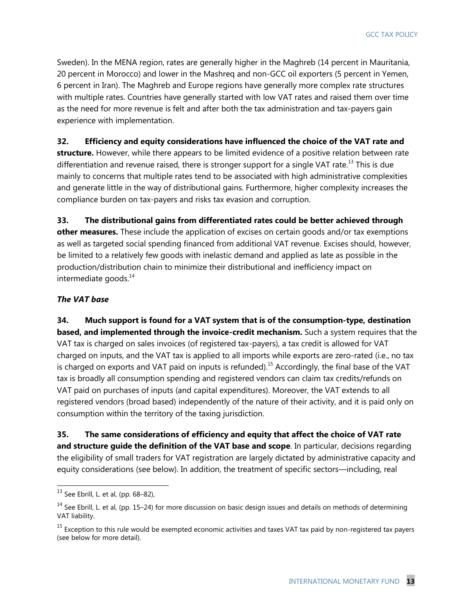Sweden). In the MENA region, rates are generally higher in the Maghreb (14 percent in Mauritania, 20 percent in Morocco) and lower in the Mashreq and non-GCC oil exporters (5 percent in Yemen, 6 percent in Iran). The Maghreb and Europe regions have generally more complex rate structures with multiple rates. Countries have generally started with low VAT rates and raised them over time as the need for more revenue is felt and after both the tax administration and tax-payers gain experience with implementation.

#### **32. Efficiency and equity considerations have influenced the choice of the VAT rate and**

**structure.** However, while there appears to be limited evidence of a positive relation between rate differentiation and revenue raised, there is stronger support for a single VAT rate.<sup>13</sup> This is due mainly to concerns that multiple rates tend to be associated with high administrative complexities and generate little in the way of distributional gains. Furthermore, higher complexity increases the compliance burden on tax-payers and risks tax evasion and corruption.

**33. The distributional gains from differentiated rates could be better achieved through other measures.** These include the application of excises on certain goods and/or tax exemptions as well as targeted social spending financed from additional VAT revenue. Excises should, however, be limited to a relatively few goods with inelastic demand and applied as late as possible in the production/distribution chain to minimize their distributional and inefficiency impact on intermediate goods.<sup>14</sup>

#### *The VAT base*

**34. Much support is found for a VAT system that is of the consumption-type, destination based, and implemented through the invoice-credit mechanism.** Such a system requires that the VAT tax is charged on sales invoices (of registered tax-payers), a tax credit is allowed for VAT charged on inputs, and the VAT tax is applied to all imports while exports are zero-rated (i.e., no tax is charged on exports and VAT paid on inputs is refunded).<sup>15</sup> Accordingly, the final base of the VAT tax is broadly all consumption spending and registered vendors can claim tax credits/refunds on VAT paid on purchases of inputs (and capital expenditures). Moreover, the VAT extends to all registered vendors (broad based) independently of the nature of their activity, and it is paid only on consumption within the territory of the taxing jurisdiction.

**35. The same considerations of efficiency and equity that affect the choice of VAT rate and structure guide the definition of the VAT base and scope**. In particular, decisions regarding the eligibility of small traders for VAT registration are largely dictated by administrative capacity and equity considerations (see below). In addition, the treatment of specific sectors—including, real

 $^{13}$  See Ebrill, L. et al, (pp. 68–82),

 $14$  See Ebrill, L. et al, (pp. 15–24) for more discussion on basic design issues and details on methods of determining VAT liability.

<sup>&</sup>lt;sup>15</sup> Exception to this rule would be exempted economic activities and taxes VAT tax paid by non-registered tax payers (see below for more detail).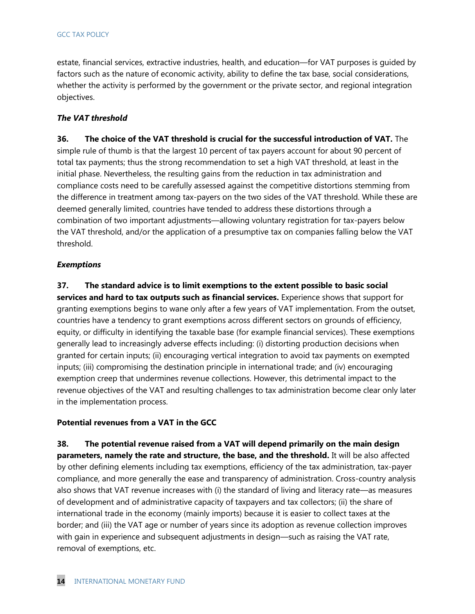estate, financial services, extractive industries, health, and education—for VAT purposes is guided by factors such as the nature of economic activity, ability to define the tax base, social considerations, whether the activity is performed by the government or the private sector, and regional integration objectives.

#### *The VAT threshold*

**36. The choice of the VAT threshold is crucial for the successful introduction of VAT.** The simple rule of thumb is that the largest 10 percent of tax payers account for about 90 percent of total tax payments; thus the strong recommendation to set a high VAT threshold, at least in the initial phase. Nevertheless, the resulting gains from the reduction in tax administration and compliance costs need to be carefully assessed against the competitive distortions stemming from the difference in treatment among tax-payers on the two sides of the VAT threshold. While these are deemed generally limited, countries have tended to address these distortions through a combination of two important adjustments—allowing voluntary registration for tax-payers below the VAT threshold, and/or the application of a presumptive tax on companies falling below the VAT threshold.

#### *Exemptions*

**37. The standard advice is to limit exemptions to the extent possible to basic social services and hard to tax outputs such as financial services.** Experience shows that support for granting exemptions begins to wane only after a few years of VAT implementation. From the outset, countries have a tendency to grant exemptions across different sectors on grounds of efficiency, equity, or difficulty in identifying the taxable base (for example financial services). These exemptions generally lead to increasingly adverse effects including: (i) distorting production decisions when granted for certain inputs; (ii) encouraging vertical integration to avoid tax payments on exempted inputs; (iii) compromising the destination principle in international trade; and (iv) encouraging exemption creep that undermines revenue collections. However, this detrimental impact to the revenue objectives of the VAT and resulting challenges to tax administration become clear only later in the implementation process.

#### **Potential revenues from a VAT in the GCC**

**38. The potential revenue raised from a VAT will depend primarily on the main design parameters, namely the rate and structure, the base, and the threshold.** It will be also affected by other defining elements including tax exemptions, efficiency of the tax administration, tax-payer compliance, and more generally the ease and transparency of administration. Cross-country analysis also shows that VAT revenue increases with (i) the standard of living and literacy rate—as measures of development and of administrative capacity of taxpayers and tax collectors; (ii) the share of international trade in the economy (mainly imports) because it is easier to collect taxes at the border; and (iii) the VAT age or number of years since its adoption as revenue collection improves with gain in experience and subsequent adjustments in design—such as raising the VAT rate, removal of exemptions, etc.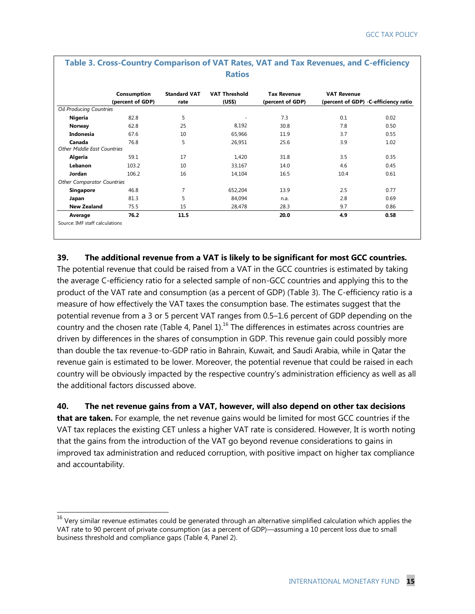|                                              | Consumption<br>(percent of GDP) | <b>Standard VAT</b><br>rate | <b>VAT Threshold</b><br>(US\$) | <b>Tax Revenue</b><br>(percent of GDP) | <b>VAT Revenue</b> | (percent of GDP) C-efficiency ratio |
|----------------------------------------------|---------------------------------|-----------------------------|--------------------------------|----------------------------------------|--------------------|-------------------------------------|
| Oil Producing Countries                      |                                 |                             |                                |                                        |                    |                                     |
| Nigeria                                      | 82.8                            | 5                           |                                | 7.3                                    | 0.1                | 0.02                                |
| Norway                                       | 62.8                            | 25                          | 8,192                          | 30.8                                   | 7.8                | 0.50                                |
| Indonesia                                    | 67.6                            | 10                          | 65,966                         | 11.9                                   | 3.7                | 0.55                                |
| Canada<br><b>Other Middle East Countries</b> | 76.8                            | 5                           | 26,951                         | 25.6                                   | 3.9                | 1.02                                |
| Algeria                                      | 59.1                            | 17                          | 1,420                          | 31.8                                   | 3.5                | 0.35                                |
| Lebanon                                      | 103.2                           | 10                          | 33,167                         | 14.0                                   | 4.6                | 0.45                                |
| Jordan                                       | 106.2                           | 16                          | 14,104                         | 16.5                                   | 10.4               | 0.61                                |
| <b>Other Comparator Countries</b>            |                                 |                             |                                |                                        |                    |                                     |
| <b>Singapore</b>                             | 46.8                            | 7                           | 652,204                        | 13.9                                   | 2.5                | 0.77                                |
| Japan                                        | 81.3                            | 5                           | 84,094                         | n.a.                                   | 2.8                | 0.69                                |
| <b>New Zealand</b>                           | 75.5                            | 15                          | 28,478                         | 28.3                                   | 9.7                | 0.86                                |
| Average                                      | 76.2                            | 11.5                        |                                | 20.0                                   | 4.9                | 0.58                                |

# **Table 3. Cross-Country Comparison of VAT Rates, VAT and Tax Revenues, and C-efficiency**

#### **39. The additional revenue from a VAT is likely to be significant for most GCC countries.**

The potential revenue that could be raised from a VAT in the GCC countries is estimated by taking the average C-efficiency ratio for a selected sample of non-GCC countries and applying this to the product of the VAT rate and consumption (as a percent of GDP) (Table 3). The C-efficiency ratio is a measure of how effectively the VAT taxes the consumption base. The estimates suggest that the potential revenue from a 3 or 5 percent VAT ranges from 0.5–1.6 percent of GDP depending on the country and the chosen rate (Table 4, Panel  $1$ ).<sup>16</sup> The differences in estimates across countries are driven by differences in the shares of consumption in GDP. This revenue gain could possibly more than double the tax revenue-to-GDP ratio in Bahrain, Kuwait, and Saudi Arabia, while in Qatar the revenue gain is estimated to be lower. Moreover, the potential revenue that could be raised in each country will be obviously impacted by the respective country's administration efficiency as well as all the additional factors discussed above.

#### **40. The net revenue gains from a VAT, however, will also depend on other tax decisions**

**that are taken.** For example, the net revenue gains would be limited for most GCC countries if the VAT tax replaces the existing CET unless a higher VAT rate is considered. However, It is worth noting that the gains from the introduction of the VAT go beyond revenue considerations to gains in improved tax administration and reduced corruption, with positive impact on higher tax compliance and accountability.

 $^{16}$  Very similar revenue estimates could be generated through an alternative simplified calculation which applies the VAT rate to 90 percent of private consumption (as a percent of GDP)—assuming a 10 percent loss due to small business threshold and compliance gaps (Table 4, Panel 2).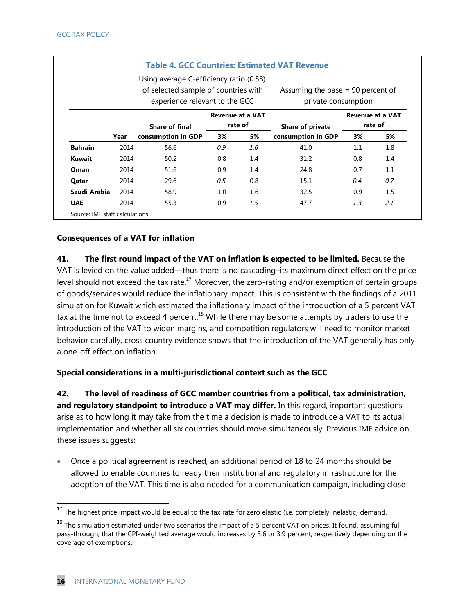|                |      | Using average C-efficiency ratio (0.58) |     |                         |                                     |                         |         |
|----------------|------|-----------------------------------------|-----|-------------------------|-------------------------------------|-------------------------|---------|
|                |      | of selected sample of countries with    |     |                         | Assuming the base $= 90$ percent of |                         |         |
|                |      | experience relevant to the GCC          |     |                         | private consumption                 |                         |         |
|                |      |                                         |     | <b>Revenue at a VAT</b> |                                     | <b>Revenue at a VAT</b> |         |
|                |      | <b>Share of final</b>                   |     | rate of                 | Share of private                    |                         | rate of |
|                | Year | consumption in GDP                      | 3%  | 5%                      | consumption in GDP                  | 3%                      | 5%      |
| <b>Bahrain</b> | 2014 | 56.6                                    | 0.9 | <u>1.6</u>              | 41.0                                | 1.1                     | 1.8     |
| <b>Kuwait</b>  | 2014 | 50.2                                    | 0.8 | 1.4                     | 31.2                                | 0.8                     | 1.4     |
| Oman           | 2014 | 51.6                                    | 0.9 | 1.4                     | 24.8                                | 0.7                     | 1.1     |
| Qatar          | 2014 | 29.6                                    | 0.5 | 0.8                     | 15.1                                | 0.4                     | 0.7     |
| Saudi Arabia   | 2014 | 58.9                                    | 1.0 | 1.6                     | 32.5                                | 0.9                     | 1.5     |
| <b>UAE</b>     | 2014 | 55.3                                    | 0.9 | 1.5                     | 47.7                                | <u>1.3</u>              | 21      |

#### **Consequences of a VAT for inflation**

**41. The first round impact of the VAT on inflation is expected to be limited.** Because the VAT is levied on the value added—thus there is no cascading–its maximum direct effect on the price level should not exceed the tax rate.<sup>17</sup> Moreover, the zero-rating and/or exemption of certain groups of goods/services would reduce the inflationary impact. This is consistent with the findings of a 2011 simulation for Kuwait which estimated the inflationary impact of the introduction of a 5 percent VAT tax at the time not to exceed 4 percent.<sup>18</sup> While there may be some attempts by traders to use the introduction of the VAT to widen margins, and competition regulators will need to monitor market behavior carefully, cross country evidence shows that the introduction of the VAT generally has only a one-off effect on inflation.

#### **Special considerations in a multi-jurisdictional context such as the GCC**

**42. The level of readiness of GCC member countries from a political, tax administration, and regulatory standpoint to introduce a VAT may differ.** In this regard, important questions arise as to how long it may take from the time a decision is made to introduce a VAT to its actual implementation and whether all six countries should move simultaneously. Previous IMF advice on these issues suggests:

 Once a political agreement is reached, an additional period of 18 to 24 months should be allowed to enable countries to ready their institutional and regulatory infrastructure for the adoption of the VAT. This time is also needed for a communication campaign, including close

 $^{17}$  The highest price impact would be equal to the tax rate for zero elastic (i.e. completely inelastic) demand.

 $18$  The simulation estimated under two scenarios the impact of a 5 percent VAT on prices. It found, assuming full pass-through, that the CPI-weighted average would increases by 3.6 or 3.9 percent, respectively depending on the coverage of exemptions.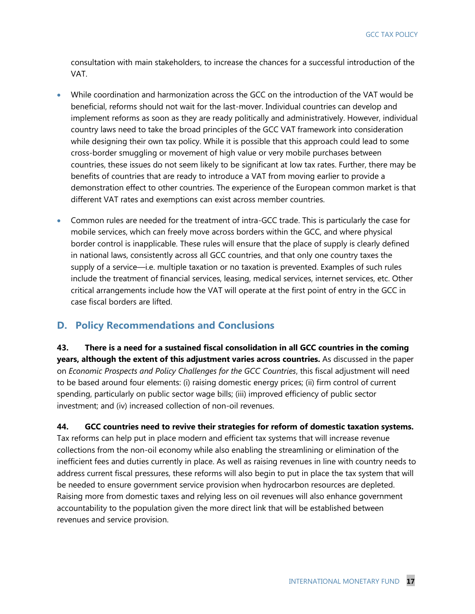consultation with main stakeholders, to increase the chances for a successful introduction of the VAT.

- While coordination and harmonization across the GCC on the introduction of the VAT would be beneficial, reforms should not wait for the last-mover. Individual countries can develop and implement reforms as soon as they are ready politically and administratively. However, individual country laws need to take the broad principles of the GCC VAT framework into consideration while designing their own tax policy. While it is possible that this approach could lead to some cross-border smuggling or movement of high value or very mobile purchases between countries, these issues do not seem likely to be significant at low tax rates. Further, there may be benefits of countries that are ready to introduce a VAT from moving earlier to provide a demonstration effect to other countries. The experience of the European common market is that different VAT rates and exemptions can exist across member countries.
- Common rules are needed for the treatment of intra-GCC trade. This is particularly the case for mobile services, which can freely move across borders within the GCC, and where physical border control is inapplicable. These rules will ensure that the place of supply is clearly defined in national laws, consistently across all GCC countries, and that only one country taxes the supply of a service—i.e. multiple taxation or no taxation is prevented. Examples of such rules include the treatment of financial services, leasing, medical services, internet services, etc. Other critical arrangements include how the VAT will operate at the first point of entry in the GCC in case fiscal borders are lifted.

#### **D. Policy Recommendations and Conclusions**

**43. There is a need for a sustained fiscal consolidation in all GCC countries in the coming years, although the extent of this adjustment varies across countries.** As discussed in the paper on *Economic Prospects and Policy Challenges for the GCC Countries*, this fiscal adjustment will need to be based around four elements: (i) raising domestic energy prices; (ii) firm control of current spending, particularly on public sector wage bills; (iii) improved efficiency of public sector investment; and (iv) increased collection of non-oil revenues.

**44. GCC countries need to revive their strategies for reform of domestic taxation systems.**  Tax reforms can help put in place modern and efficient tax systems that will increase revenue collections from the non-oil economy while also enabling the streamlining or elimination of the inefficient fees and duties currently in place. As well as raising revenues in line with country needs to address current fiscal pressures, these reforms will also begin to put in place the tax system that will be needed to ensure government service provision when hydrocarbon resources are depleted. Raising more from domestic taxes and relying less on oil revenues will also enhance government accountability to the population given the more direct link that will be established between revenues and service provision.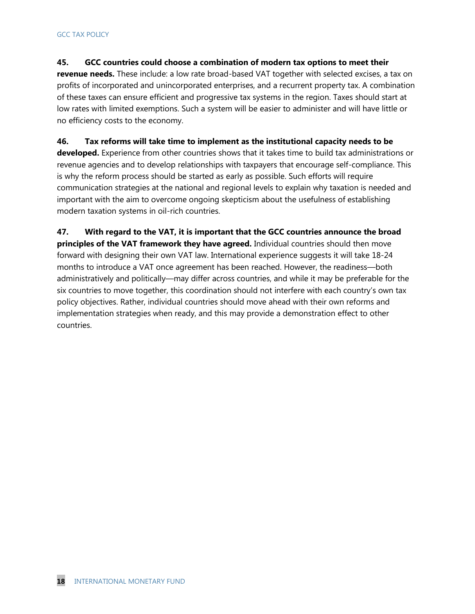#### **45. GCC countries could choose a combination of modern tax options to meet their**

**revenue needs.** These include: a low rate broad-based VAT together with selected excises, a tax on profits of incorporated and unincorporated enterprises, and a recurrent property tax. A combination of these taxes can ensure efficient and progressive tax systems in the region. Taxes should start at low rates with limited exemptions. Such a system will be easier to administer and will have little or no efficiency costs to the economy.

#### **46. Tax reforms will take time to implement as the institutional capacity needs to be**

**developed.** Experience from other countries shows that it takes time to build tax administrations or revenue agencies and to develop relationships with taxpayers that encourage self-compliance. This is why the reform process should be started as early as possible. Such efforts will require communication strategies at the national and regional levels to explain why taxation is needed and important with the aim to overcome ongoing skepticism about the usefulness of establishing modern taxation systems in oil-rich countries.

**47. With regard to the VAT, it is important that the GCC countries announce the broad principles of the VAT framework they have agreed.** Individual countries should then move forward with designing their own VAT law. International experience suggests it will take 18-24 months to introduce a VAT once agreement has been reached. However, the readiness—both administratively and politically—may differ across countries, and while it may be preferable for the six countries to move together, this coordination should not interfere with each country's own tax policy objectives. Rather, individual countries should move ahead with their own reforms and implementation strategies when ready, and this may provide a demonstration effect to other countries.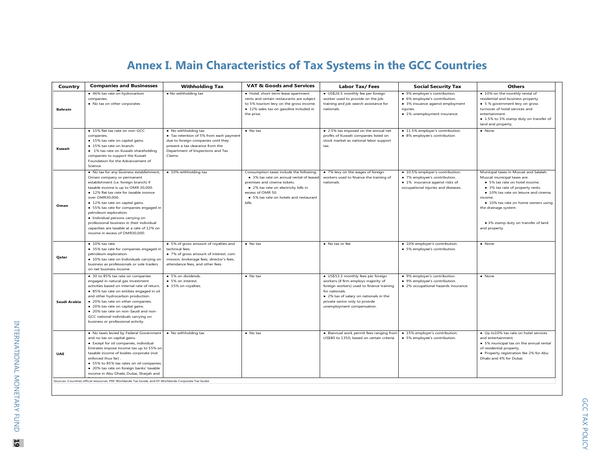## **Annex I. Main Characteristics of Tax Systems in the GCC Countries**

|                |                                                                                                                                                                                                                                                                                                                                                                                                                                                                                                | <b>Annex I. Main Characteristics of Tax Systems in the GCC Countries</b>                                                                                                                    |                                                                                                                                                                                                                                              |                                                                                                                                                                                                                                                      |                                                                                                                                                 |                                                                                                                                                                                                                                                                                                                       |
|----------------|------------------------------------------------------------------------------------------------------------------------------------------------------------------------------------------------------------------------------------------------------------------------------------------------------------------------------------------------------------------------------------------------------------------------------------------------------------------------------------------------|---------------------------------------------------------------------------------------------------------------------------------------------------------------------------------------------|----------------------------------------------------------------------------------------------------------------------------------------------------------------------------------------------------------------------------------------------|------------------------------------------------------------------------------------------------------------------------------------------------------------------------------------------------------------------------------------------------------|-------------------------------------------------------------------------------------------------------------------------------------------------|-----------------------------------------------------------------------------------------------------------------------------------------------------------------------------------------------------------------------------------------------------------------------------------------------------------------------|
| Country        | <b>Companies and Businesses</b>                                                                                                                                                                                                                                                                                                                                                                                                                                                                | <b>Withholding Tax</b>                                                                                                                                                                      | <b>VAT &amp; Goods and Services</b>                                                                                                                                                                                                          | <b>Labor Tax/Fees</b>                                                                                                                                                                                                                                | <b>Social Security Tax</b>                                                                                                                      | <b>Others</b>                                                                                                                                                                                                                                                                                                         |
| <b>Bahrain</b> | • 46% tax rate on hydrocarbon<br>companies.<br>. No tax on other corporates                                                                                                                                                                                                                                                                                                                                                                                                                    | . No withholding tax                                                                                                                                                                        | · Hotel, short-term lease apartment<br>rents and certain restaurants are subject<br>to 5% tourism levy on the gross income.<br>· 12% sales tax on gasoline included in<br>the price.                                                         | · US\$26.5 monthly fee per foreign<br>worker used to provide on the job<br>training and job search assistance for<br>nationals.                                                                                                                      | · 9% employer's contribution.<br>• 6% employee's contribution.<br>· 3% insuance against employment<br>iniuries.<br>• 1% unemployment insurance. | . 10% on the monthly rental of<br>residential and business property.<br>• 5 % government levy on gross<br>turnover of hotel services and<br>entertainment.<br>• 1.5% to 3% stamp duty on transfer of<br>land and property.                                                                                            |
| Kuwait         | . 15% flat tax rate on non-GCC<br>companies.<br>· 15% tax rate on capital gains.<br>• 15% tax rate on branch.<br>· 1% tax rate on Kuwaiti shareholding<br>companies to support the Kuwait<br>Foundation for the Advancement of<br>Science                                                                                                                                                                                                                                                      | • No withholding tax.<br>• Tax retention of 5% from each payment<br>due to foreign companies until they<br>present a tax clearance from the<br>Department of Inspections and Tax<br>Claims. | $\bullet$ No tax                                                                                                                                                                                                                             | • 2.5% tax imposed on the annual net<br>profits of Kuwaiti companies listed on<br>stock market as national labor support<br>tax.                                                                                                                     | · 11.5% employer's contribution.<br>• 8% employee's contribution                                                                                | $\bullet$ None                                                                                                                                                                                                                                                                                                        |
| Oman           | . No tax for any business establishment,<br>Omani company or permanent<br>establishment (i.e. foreign branch) if<br>taxable income is up to OMR 30,000.<br>• 12% flat tax rate for taxable inomce<br>over OMR30,000.<br>· 12% tax rate on capital gains.<br>· 55% tax rate for companies engaged in<br>petroleum exploration.<br>· Individual persons carrying on<br>professional business in their individual<br>capacities are taxable at a rate of 12% on<br>income in excess of OMR30,000. | • 10% withholding tax                                                                                                                                                                       | Consumption taxes include the following:<br>• 3% tax rate on annual rental of leased<br>premises and cinema tickets.<br>· 2% tax rate on electricity bills in<br>excess of OMR 50.<br>• 5% tax rate on hotels and restaurant<br><b>bills</b> | • 7% levy on the wages of foreign<br>workers used to finance the training of<br>nationals.                                                                                                                                                           | · 10.5% employer's contribution.<br>• 7% employee's contribution.<br>· 1% insurance against risks of<br>occupational injuries and diseases.     | Municipal taxes in Muscat and Salalah.<br>Muscat municipal taxes are:<br>• 5% tax rate on hotel income.<br>• 3% tax rate of property rents.<br>• 10% tax rate on leisure and cinema<br>income.<br>• 10% tax rate on home owners using<br>the drainage system.<br>. 3% stamp duty on transfer of land<br>and property. |
| Qatar          | $\bullet$ 10% tax rate.<br>• 35% tax rate for companies engaged in<br>petroleum exploration.<br>· 10% tax rate on Individuals carrying on<br>business as professionals or sole traders<br>on net business income.                                                                                                                                                                                                                                                                              | • 5% of gross amount of royalties and<br>technical fees.<br>• 7% of gross amount of interest, com<br>mission, brokerage fees, director's fees,<br>attendance fees, and other fees.          | $\bullet$ No tax                                                                                                                                                                                                                             | • No tax or fee                                                                                                                                                                                                                                      | • 10% employer's contribution.<br>• 5% employee's contribution.                                                                                 | $\bullet$ None                                                                                                                                                                                                                                                                                                        |
| Saudi Arabia   | • 30 to 85% tax rate on companies<br>engaged in natural gas investment<br>activities based on internal rate of return.<br>· 85% tax rate on entities engaged in oil<br>and other hydrocarbon production.<br>• 20% tax rate on other companies.<br>· 20% tax rate on capital gains.<br>· 20% tax rate on non-Saudi and non-<br>GCC national individuals carrying on<br>business or professional activity.                                                                                       | • 5% on dividends.<br>• 5% on interest.<br>• 15% on royalties.                                                                                                                              | $\bullet$ No tax                                                                                                                                                                                                                             | · US\$53.3 monthly fees per foreign<br>workers (if firm employs majority of<br>foreign workers) used to finance training<br>for nationals.<br>• 2% tax of salary on nationals in the<br>private sector only to proivde<br>unemployment compensation. | • 9% employer's contribution.<br>• 9% employee's contribution.<br>• 2% occupational hazards insurance.                                          | $\bullet$ None                                                                                                                                                                                                                                                                                                        |
| <b>UAE</b>     | . No taxes levied by Federal Government<br>and no tax on capital gains.<br>• Except for oil companies, individual<br>Emirates impose income tax up to 55% on<br>taxable income of bodies corporate (not<br>enforced thus far)<br>• 55% to 85% tax rates on oil companies.<br>· 20% tax rate on foreign banks' taxable<br>income in Abu Dhabi, Dubai, Sharjah and<br>Sources: Countires offical resources, PKF Worldwide Tax Guide, and EY Worldwide Corporate Tax Gudie                        | • No withholding tax                                                                                                                                                                        | $\bullet$ No tax                                                                                                                                                                                                                             | · Biannual work permit fees ranging from<br>US\$80 to 1350, based on certain criteria.                                                                                                                                                               | • 15% employer's contribution.<br>• 5% employee's contribution.                                                                                 | • Up to 10% tax rate on hotel services<br>and entertainment.<br>• 5% municipal tax on the annual rental<br>of residential property.<br>. Property registration fee 2% for Abu<br>Dhabi and 4% for Dubai.                                                                                                              |
|                |                                                                                                                                                                                                                                                                                                                                                                                                                                                                                                |                                                                                                                                                                                             |                                                                                                                                                                                                                                              |                                                                                                                                                                                                                                                      |                                                                                                                                                 |                                                                                                                                                                                                                                                                                                                       |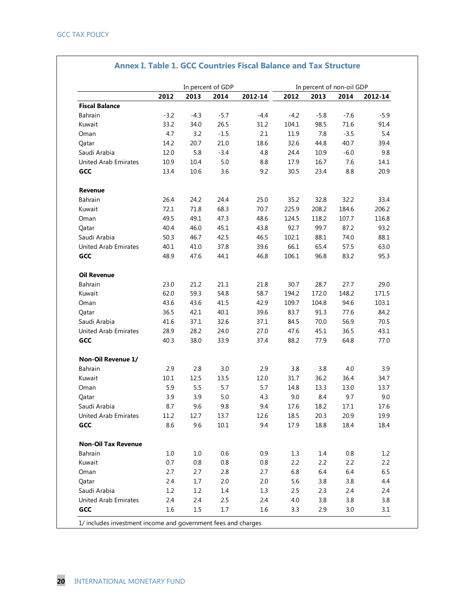|                             |        |         | In percent of GDP |         | In percent of non-oil GDP |        |        |         |
|-----------------------------|--------|---------|-------------------|---------|---------------------------|--------|--------|---------|
|                             | 2012   | 2013    | 2014              | 2012-14 | 2012                      | 2013   | 2014   | 2012-14 |
| <b>Fiscal Balance</b>       |        |         |                   |         |                           |        |        |         |
| Bahrain                     | $-3.2$ | $-4.3$  | $-5.7$            | $-4.4$  | $-4.2$                    | $-5.8$ | $-7.6$ | $-5.9$  |
| Kuwait                      | 33.2   | 34.0    | 26.5              | 31.2    | 104.1                     | 98.5   | 71.6   | 91.4    |
| Oman                        | 4.7    | 3.2     | $-1.5$            | 2.1     | 11.9                      | 7.8    | $-3.5$ | 5.4     |
| Qatar                       | 14.2   | 20.7    | 21.0              | 18.6    | 32.6                      | 44.8   | 40.7   | 39.4    |
| Saudi Arabia                | 12.0   | 5.8     | $-3.4$            | 4.8     | 24.4                      | 10.9   | $-6.0$ | 9.8     |
| United Arab Emirates        | 10.9   | 10.4    | 5.0               | 8.8     | 17.9                      | 16.7   | 7.6    | 14.1    |
| GCC                         | 13.4   | 10.6    | 3.6               | 9.2     | 30.5                      | 23.4   | 8.8    | 20.9    |
| Revenue                     |        |         |                   |         |                           |        |        |         |
| <b>Bahrain</b>              | 26.4   | 24.2    | 24.4              | 25.0    | 35.2                      | 32.8   | 32.2   | 33.4    |
| Kuwait                      | 72.1   | 71.8    | 68.3              | 70.7    | 225.9                     | 208.2  | 184.6  | 206.2   |
| Oman                        | 49.5   | 49.1    | 47.3              | 48.6    | 124.5                     | 118.2  | 107.7  | 116.8   |
| Qatar                       | 40.4   | 46.0    | 45.1              | 43.8    | 92.7                      | 99.7   | 87.2   | 93.2    |
| Saudi Arabia                | 50.3   | 46.7    | 42.5              | 46.5    | 102.1                     | 88.1   | 74.0   | 88.1    |
| <b>United Arab Emirates</b> | 40.1   | 41.0    | 37.8              | 39.6    | 66.1                      | 65.4   | 57.5   | 63.0    |
| GCC                         | 48.9   | 47.6    | 44.1              | 46.8    | 106.1                     | 96.8   | 83.2   | 95.3    |
| <b>Oil Revenue</b>          |        |         |                   |         |                           |        |        |         |
| Bahrain                     | 23.0   | 21.2    | 21.1              | 21.8    | 30.7                      | 28.7   | 27.7   | 29.0    |
| Kuwait                      | 62.0   | 59.3    | 54.8              | 58.7    | 194.2                     | 172.0  | 148.2  | 171.5   |
| Oman                        | 43.6   | 43.6    | 41.5              | 42.9    | 109.7                     | 104.8  | 94.6   | 103.1   |
| Qatar                       | 36.5   | 42.1    | 40.1              | 39.6    | 83.7                      | 91.3   | 77.6   | 84.2    |
| Saudi Arabia                | 41.6   | 37.1    | 32.6              | 37.1    | 84.5                      | 70.0   | 56.9   | 70.5    |
| <b>United Arab Emirates</b> | 28.9   | 28.2    | 24.0              | 27.0    | 47.6                      | 45.1   | 36.5   | 43.1    |
| GCC                         | 40.3   | 38.0    | 33.9              | 37.4    | 88.2                      | 77.9   | 64.8   | 77.0    |
| Non-Oil Revenue 1/          |        |         |                   |         |                           |        |        |         |
| <b>Bahrain</b>              | 2.9    | 2.8     | 3.0               | 2.9     | 3.8                       | 3.8    | 4.0    | 3.9     |
| Kuwait                      | 10.1   | 12.5    | 13.5              | 12.0    | 31.7                      | 36.2   | 36.4   | 34.7    |
| Oman                        | 5.9    | 5.5     | 5.7               | 5.7     | 14.8                      | 13.3   | 13.0   | 13.7    |
| Oatar                       | 3.9    | 3.9     | 5.0               | 4.3     | 9.0                       | 8.4    | 9.7    | 9.0     |
| Saudi Arabia                | 8.7    | 9.6     | 9.8               | 9.4     | 17.6                      | 18.2   | 17.1   | 17.6    |
| United Arab Emirates        | 11.2   | 12.7    | 13.7              | 12.6    | 18.5                      | 20.3   | 20.9   | 19.9    |
| GCC                         | 8.6    | 9.6     | 10.1              | 9.4     | 17.9                      | 18.8   | 18.4   | 18.4    |
| <b>Non-Oil Tax Revenue</b>  |        |         |                   |         |                           |        |        |         |
| Bahrain                     | 1.0    | 1.0     | 0.6               | 0.9     | 1.3                       | 1.4    | 0.8    | 1.2     |
| Kuwait                      | 0.7    | $0.8\,$ | 0.8               | 0.8     | 2.2                       | 2.2    | 2.2    | 2.2     |
| Oman                        | 2.7    | 2.7     | 2.8               | 2.7     | 6.8                       | 6.4    | 6.4    | 6.5     |
| Qatar                       | 2.4    | 1.7     | 2.0               | 2.0     | 5.6                       | 3.8    | 3.8    | 4.4     |
| Saudi Arabia                | 1.2    | 1.2     | 1.4               | 1.3     | 2.5                       | 2.3    | 2.4    | $2.4\,$ |
| United Arab Emirates        | 2.4    | 2.4     | 2.5               | 2.4     | 4.0                       | 3.8    | 3.8    | 3.8     |
| GCC                         | 1.6    | 1.5     | 1.7               | 1.6     | 3.3                       | 2.9    | 3.0    | 3.1     |

#### **Annex I. Table 1. GCC Countries Fiscal Balance and Tax Structure**